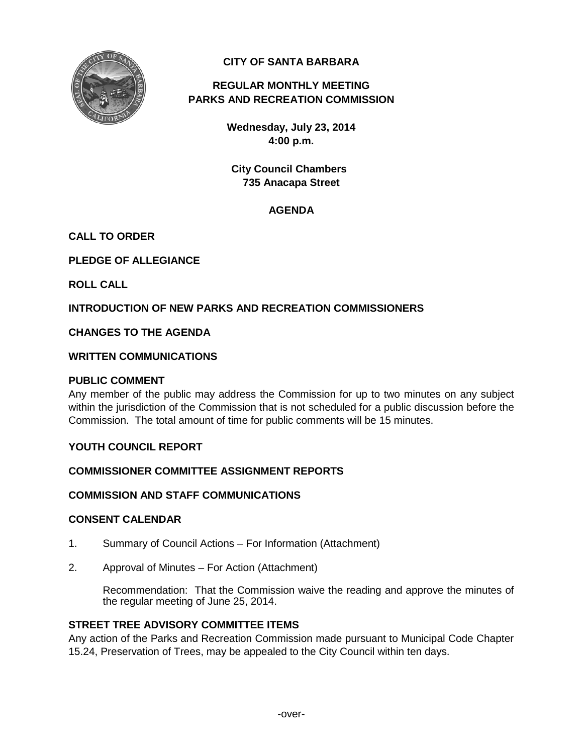

# **CITY OF SANTA BARBARA**

# **REGULAR MONTHLY MEETING PARKS AND RECREATION COMMISSION**

**Wednesday, July 23, 2014 4:00 p.m.**

**City Council Chambers 735 Anacapa Street**

# **AGENDA**

# **CALL TO ORDER**

**PLEDGE OF ALLEGIANCE**

**ROLL CALL**

# **INTRODUCTION OF NEW PARKS AND RECREATION COMMISSIONERS**

# **CHANGES TO THE AGENDA**

## **WRITTEN COMMUNICATIONS**

## **PUBLIC COMMENT**

Any member of the public may address the Commission for up to two minutes on any subject within the jurisdiction of the Commission that is not scheduled for a public discussion before the Commission. The total amount of time for public comments will be 15 minutes.

# **YOUTH COUNCIL REPORT**

# **COMMISSIONER COMMITTEE ASSIGNMENT REPORTS**

# **COMMISSION AND STAFF COMMUNICATIONS**

## **CONSENT CALENDAR**

- 1. Summary of Council Actions For Information (Attachment)
- 2. Approval of Minutes For Action (Attachment)

Recommendation: That the Commission waive the reading and approve the minutes of the regular meeting of June 25, 2014.

# **STREET TREE ADVISORY COMMITTEE ITEMS**

Any action of the Parks and Recreation Commission made pursuant to Municipal Code Chapter 15.24, Preservation of Trees, may be appealed to the City Council within ten days.